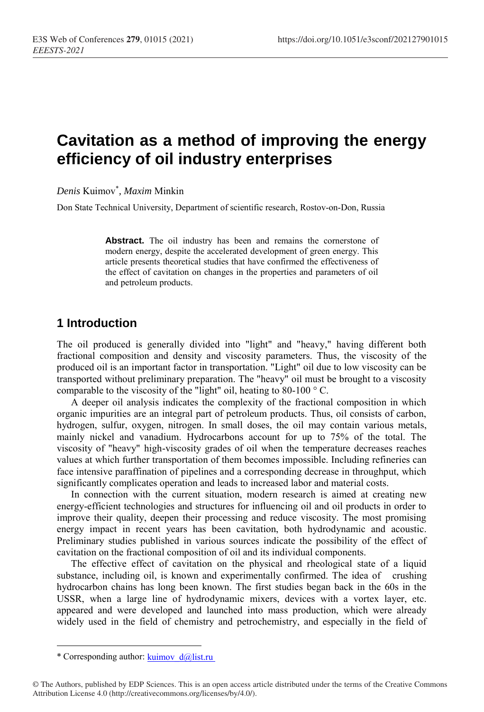# **Cavitation as a method of improving the energy efficiency of oil industry enterprises**

*Denis* Kuimov\* *, Maxim* Minkin

Don State Technical University, Department of scientific research, Rostov-on-Don, Russia

**Abstract.** The oil industry has been and remains the cornerstone of modern energy, despite the accelerated development of green energy. This article presents theoretical studies that have confirmed the effectiveness of the effect of cavitation on changes in the properties and parameters of oil and petroleum products.

# **1 Introduction**

The oil produced is generally divided into "light" and "heavy," having different both fractional composition and density and viscosity parameters. Thus, the viscosity of the produced oil is an important factor in transportation. "Light" oil due to low viscosity can be transported without preliminary preparation. The "heavy" oil must be brought to a viscosity comparable to the viscosity of the "light" oil, heating to 80-100  $\degree$  C.

A deeper oil analysis indicates the complexity of the fractional composition in which organic impurities are an integral part of petroleum products. Thus, oil consists of carbon, hydrogen, sulfur, oxygen, nitrogen. In small doses, the oil may contain various metals, mainly nickel and vanadium. Hydrocarbons account for up to 75% of the total. The viscosity of "heavy" high-viscosity grades of oil when the temperature decreases reaches values at which further transportation of them becomes impossible. Including refineries can face intensive paraffination of pipelines and a corresponding decrease in throughput, which significantly complicates operation and leads to increased labor and material costs.

In connection with the current situation, modern research is aimed at creating new energy-efficient technologies and structures for influencing oil and oil products in order to improve their quality, deepen their processing and reduce viscosity. The most promising energy impact in recent years has been cavitation, both hydrodynamic and acoustic. Preliminary studies published in various sources indicate the possibility of the effect of cavitation on the fractional composition of oil and its individual components.

The effective effect of cavitation on the physical and rheological state of a liquid substance, including oil, is known and experimentally confirmed. The idea of crushing hydrocarbon chains has long been known. The first studies began back in the 60s in the USSR, when a large line of hydrodynamic mixers, devices with a vortex layer, etc. appeared and were developed and launched into mass production, which were already widely used in the field of chemistry and petrochemistry, and especially in the field of

 $\overline{a}$ 

<sup>\*</sup> Corresponding author: kuimov d@list.ru

<sup>©</sup> The Authors, published by EDP Sciences. This is an open access article distributed under the terms of the Creative Commons Attribution License 4.0 (http://creativecommons.org/licenses/by/4.0/).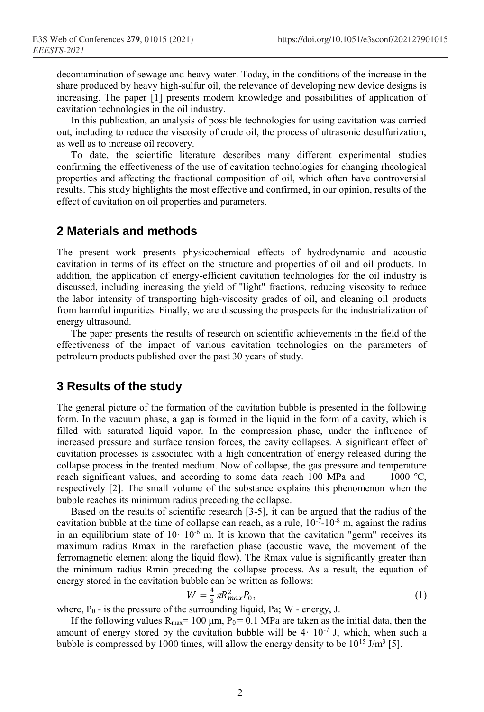decontamination of sewage and heavy water. Today, in the conditions of the increase in the share produced by heavy high-sulfur oil, the relevance of developing new device designs is increasing. The paper [1] presents modern knowledge and possibilities of application of cavitation technologies in the oil industry.

In this publication, an analysis of possible technologies for using cavitation was carried out, including to reduce the viscosity of crude oil, the process of ultrasonic desulfurization, as well as to increase oil recovery.

To date, the scientific literature describes many different experimental studies confirming the effectiveness of the use of cavitation technologies for changing rheological properties and affecting the fractional composition of oil, which often have controversial results. This study highlights the most effective and confirmed, in our opinion, results of the effect of cavitation on oil properties and parameters.

## **2 Materials and methods**

The present work presents physicochemical effects of hydrodynamic and acoustic cavitation in terms of its effect on the structure and properties of oil and oil products. In addition, the application of energy-efficient cavitation technologies for the oil industry is discussed, including increasing the yield of "light" fractions, reducing viscosity to reduce the labor intensity of transporting high-viscosity grades of oil, and cleaning oil products from harmful impurities. Finally, we are discussing the prospects for the industrialization of energy ultrasound.

The paper presents the results of research on scientific achievements in the field of the effectiveness of the impact of various cavitation technologies on the parameters of petroleum products published over the past 30 years of study.

## **3 Results of the study**

The general picture of the formation of the cavitation bubble is presented in the following form. In the vacuum phase, a gap is formed in the liquid in the form of a cavity, which is filled with saturated liquid vapor. In the compression phase, under the influence of increased pressure and surface tension forces, the cavity collapses. A significant effect of cavitation processes is associated with a high concentration of energy released during the collapse process in the treated medium. Now of collapse, the gas pressure and temperature reach significant values, and according to some data reach 100 MPa and 1000 °C, respectively [2]. The small volume of the substance explains this phenomenon when the bubble reaches its minimum radius preceding the collapse.

Based on the results of scientific research [3-5], it can be argued that the radius of the cavitation bubble at the time of collapse can reach, as a rule,  $10^{-7}$ - $10^{-8}$  m, against the radius in an equilibrium state of  $10 \cdot 10^{-6}$  m. It is known that the cavitation "germ" receives its maximum radius Rmax in the rarefaction phase (acoustic wave, the movement of the ferromagnetic element along the liquid flow). The Rmax value is significantly greater than the minimum radius Rmin preceding the collapse process. As a result, the equation of energy stored in the cavitation bubble can be written as follows:

$$
W = \frac{4}{3}\pi R_{max}^2 P_0,
$$
 (1)

where,  $P_0$  - is the pressure of the surrounding liquid, Pa; W - energy, J.

If the following values  $R_{\text{max}}$  = 100 µm,  $P_0$  = 0.1 MPa are taken as the initial data, then the amount of energy stored by the cavitation bubble will be  $4 \cdot 10^{-7}$  J, which, when such a bubble is compressed by 1000 times, will allow the energy density to be  $10^{15}$  J/m<sup>3</sup> [5].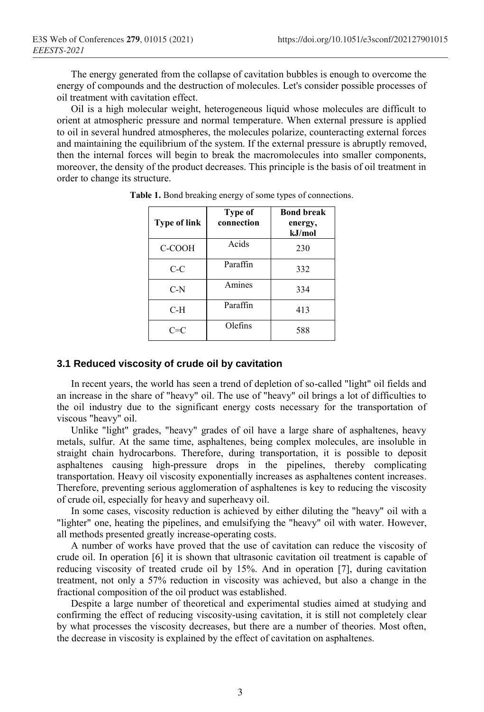The energy generated from the collapse of cavitation bubbles is enough to overcome the energy of compounds and the destruction of molecules. Let's consider possible processes of oil treatment with cavitation effect.

Oil is a high molecular weight, heterogeneous liquid whose molecules are difficult to orient at atmospheric pressure and normal temperature. When external pressure is applied to oil in several hundred atmospheres, the molecules polarize, counteracting external forces and maintaining the equilibrium of the system. If the external pressure is abruptly removed, then the internal forces will begin to break the macromolecules into smaller components, moreover, the density of the product decreases. This principle is the basis of oil treatment in order to change its structure.

| <b>Type of link</b> | Type of<br>connection | <b>Bond break</b><br>energy,<br>kJ/mol |
|---------------------|-----------------------|----------------------------------------|
| C-COOH              | Acids                 | 230                                    |
| $C-C$               | Paraffin              | 332                                    |
| C-N                 | Amines                | 334                                    |
| C-H                 | Paraffin              | 413                                    |
| $C = C$             | Olefins               | 588                                    |

**Table 1.** Bond breaking energy of some types of connections.

#### **3.1 Reduced viscosity of crude oil by cavitation**

In recent years, the world has seen a trend of depletion of so-called "light" oil fields and an increase in the share of "heavy" oil. The use of "heavy" oil brings a lot of difficulties to the oil industry due to the significant energy costs necessary for the transportation of viscous "heavy" oil.

Unlike "light" grades, "heavy" grades of oil have a large share of asphaltenes, heavy metals, sulfur. At the same time, asphaltenes, being complex molecules, are insoluble in straight chain hydrocarbons. Therefore, during transportation, it is possible to deposit asphaltenes causing high-pressure drops in the pipelines, thereby complicating transportation. Heavy oil viscosity exponentially increases as asphaltenes content increases. Therefore, preventing serious agglomeration of asphaltenes is key to reducing the viscosity of crude oil, especially for heavy and superheavy oil.

In some cases, viscosity reduction is achieved by either diluting the "heavy" oil with a "lighter" one, heating the pipelines, and emulsifying the "heavy" oil with water. However, all methods presented greatly increase-operating costs.

A number of works have proved that the use of cavitation can reduce the viscosity of crude oil. In operation [6] it is shown that ultrasonic cavitation oil treatment is capable of reducing viscosity of treated crude oil by 15%. And in operation [7], during cavitation treatment, not only a 57% reduction in viscosity was achieved, but also a change in the fractional composition of the oil product was established.

Despite a large number of theoretical and experimental studies aimed at studying and confirming the effect of reducing viscosity-using cavitation, it is still not completely clear by what processes the viscosity decreases, but there are a number of theories. Most often, the decrease in viscosity is explained by the effect of cavitation on asphaltenes.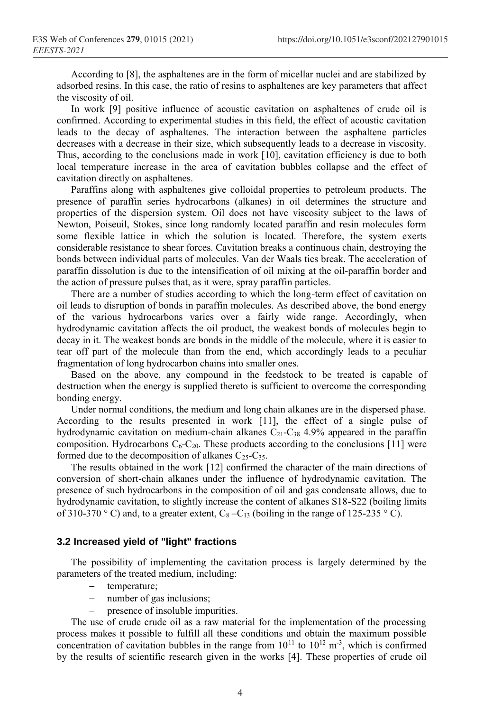According to [8], the asphaltenes are in the form of micellar nuclei and are stabilized by adsorbed resins. In this case, the ratio of resins to asphaltenes are key parameters that affect the viscosity of oil.

In work [9] positive influence of acoustic cavitation on asphaltenes of crude oil is confirmed. According to experimental studies in this field, the effect of acoustic cavitation leads to the decay of asphaltenes. The interaction between the asphaltene particles decreases with a decrease in their size, which subsequently leads to a decrease in viscosity. Thus, according to the conclusions made in work [10], cavitation efficiency is due to both local temperature increase in the area of cavitation bubbles collapse and the effect of cavitation directly on asphaltenes.

Paraffins along with asphaltenes give colloidal properties to petroleum products. The presence of paraffin series hydrocarbons (alkanes) in oil determines the structure and properties of the dispersion system. Oil does not have viscosity subject to the laws of Newton, Poiseuil, Stokes, since long randomly located paraffin and resin molecules form some flexible lattice in which the solution is located. Therefore, the system exerts considerable resistance to shear forces. Cavitation breaks a continuous chain, destroying the bonds between individual parts of molecules. Van der Waals ties break. The acceleration of paraffin dissolution is due to the intensification of oil mixing at the oil-paraffin border and the action of pressure pulses that, as it were, spray paraffin particles.

There are a number of studies according to which the long-term effect of cavitation on oil leads to disruption of bonds in paraffin molecules. As described above, the bond energy of the various hydrocarbons varies over a fairly wide range. Accordingly, when hydrodynamic cavitation affects the oil product, the weakest bonds of molecules begin to decay in it. The weakest bonds are bonds in the middle of the molecule, where it is easier to tear off part of the molecule than from the end, which accordingly leads to a peculiar fragmentation of long hydrocarbon chains into smaller ones.

Based on the above, any compound in the feedstock to be treated is capable of destruction when the energy is supplied thereto is sufficient to overcome the corresponding bonding energy.

Under normal conditions, the medium and long chain alkanes are in the dispersed phase. According to the results presented in work [11], the effect of a single pulse of hydrodynamic cavitation on medium-chain alkanes  $C_{21}$ -C<sub>38</sub> 4.9% appeared in the paraffin composition. Hydrocarbons  $C_6-C_{20}$ . These products according to the conclusions [11] were formed due to the decomposition of alkanes  $C_{25}$ - $C_{35}$ .

The results obtained in the work [12] confirmed the character of the main directions of conversion of short-chain alkanes under the influence of hydrodynamic cavitation. The presence of such hydrocarbons in the composition of oil and gas condensate allows, due to hydrodynamic cavitation, to slightly increase the content of alkanes S18-S22 (boiling limits of 310-370 ° C) and, to a greater extent,  $C_8 - C_{13}$  (boiling in the range of 125-235 ° C).

## **3.2 Increased yield of "light" fractions**

The possibility of implementing the cavitation process is largely determined by the parameters of the treated medium, including:

- temperature;
- number of gas inclusions;
- presence of insoluble impurities.

The use of crude crude oil as a raw material for the implementation of the processing process makes it possible to fulfill all these conditions and obtain the maximum possible concentration of cavitation bubbles in the range from  $10^{11}$  to  $10^{12}$  m<sup>-3</sup>, which is confirmed by the results of scientific research given in the works [4]. These properties of crude oil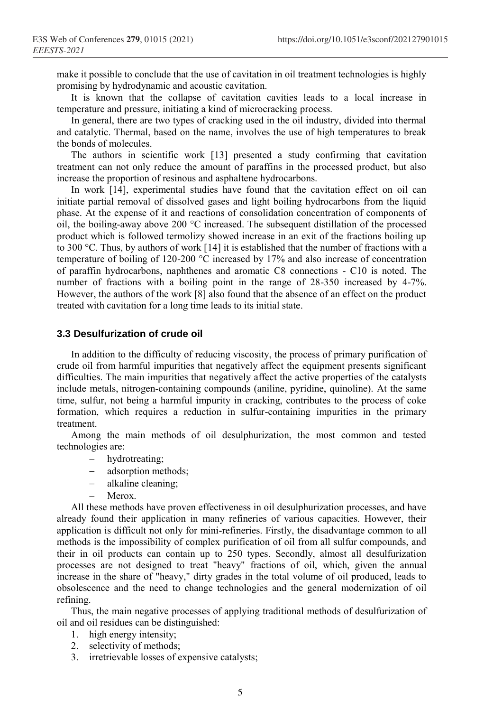make it possible to conclude that the use of cavitation in oil treatment technologies is highly promising by hydrodynamic and acoustic cavitation.

It is known that the collapse of cavitation cavities leads to a local increase in temperature and pressure, initiating a kind of microcracking process.

In general, there are two types of cracking used in the oil industry, divided into thermal and catalytic. Thermal, based on the name, involves the use of high temperatures to break the bonds of molecules.

The authors in scientific work [13] presented a study confirming that cavitation treatment can not only reduce the amount of paraffins in the processed product, but also increase the proportion of resinous and asphaltene hydrocarbons.

In work [14], experimental studies have found that the cavitation effect on oil can initiate partial removal of dissolved gases and light boiling hydrocarbons from the liquid phase. At the expense of it and reactions of consolidation concentration of components of oil, the boiling-away above 200  $^{\circ}$ C increased. The subsequent distillation of the processed product which is followed termolizy showed increase in an exit of the fractions boiling up to 300 °C. Thus, by authors of work [14] it is established that the number of fractions with a temperature of boiling of 120-200 °C increased by 17% and also increase of concentration of paraffin hydrocarbons, naphthenes and aromatic C8 connections - C10 is noted. The number of fractions with a boiling point in the range of 28-350 increased by 4-7%. However, the authors of the work [8] also found that the absence of an effect on the product treated with cavitation for a long time leads to its initial state.

### **3.3 Desulfurization of crude oil**

In addition to the difficulty of reducing viscosity, the process of primary purification of crude oil from harmful impurities that negatively affect the equipment presents significant difficulties. The main impurities that negatively affect the active properties of the catalysts include metals, nitrogen-containing compounds (aniline, pyridine, quinoline). At the same time, sulfur, not being a harmful impurity in cracking, contributes to the process of coke formation, which requires a reduction in sulfur-containing impurities in the primary treatment.

Among the main methods of oil desulphurization, the most common and tested technologies are:

- hydrotreating;
- adsorption methods;
- alkaline cleaning;
- Merox.

All these methods have proven effectiveness in oil desulphurization processes, and have already found their application in many refineries of various capacities. However, their application is difficult not only for mini-refineries. Firstly, the disadvantage common to all methods is the impossibility of complex purification of oil from all sulfur compounds, and their in oil products can contain up to 250 types. Secondly, almost all desulfurization processes are not designed to treat "heavy" fractions of oil, which, given the annual increase in the share of "heavy," dirty grades in the total volume of oil produced, leads to obsolescence and the need to change technologies and the general modernization of oil refining.

Thus, the main negative processes of applying traditional methods of desulfurization of oil and oil residues can be distinguished:

- 1. high energy intensity;
- 2. selectivity of methods;
- 3. irretrievable losses of expensive catalysts;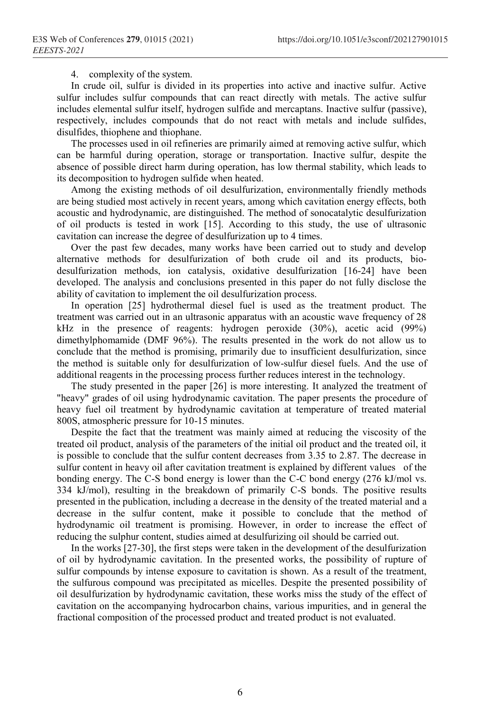4. complexity of the system.

In crude oil, sulfur is divided in its properties into active and inactive sulfur. Active sulfur includes sulfur compounds that can react directly with metals. The active sulfur includes elemental sulfur itself, hydrogen sulfide and mercaptans. Inactive sulfur (passive), respectively, includes compounds that do not react with metals and include sulfides, disulfides, thiophene and thiophane.

The processes used in oil refineries are primarily aimed at removing active sulfur, which can be harmful during operation, storage or transportation. Inactive sulfur, despite the absence of possible direct harm during operation, has low thermal stability, which leads to its decomposition to hydrogen sulfide when heated.

Among the existing methods of oil desulfurization, environmentally friendly methods are being studied most actively in recent years, among which cavitation energy effects, both acoustic and hydrodynamic, are distinguished. The method of sonocatalytic desulfurization of oil products is tested in work [15]. According to this study, the use of ultrasonic cavitation can increase the degree of desulfurization up to 4 times.

Over the past few decades, many works have been carried out to study and develop alternative methods for desulfurization of both crude oil and its products, biodesulfurization methods, ion catalysis, oxidative desulfurization [16-24] have been developed. The analysis and conclusions presented in this paper do not fully disclose the ability of cavitation to implement the oil desulfurization process.

In operation [25] hydrothermal diesel fuel is used as the treatment product. The treatment was carried out in an ultrasonic apparatus with an acoustic wave frequency of 28 kHz in the presence of reagents: hydrogen peroxide (30%), acetic acid (99%) dimethylphomamide (DMF 96%). The results presented in the work do not allow us to conclude that the method is promising, primarily due to insufficient desulfurization, since the method is suitable only for desulfurization of low-sulfur diesel fuels. And the use of additional reagents in the processing process further reduces interest in the technology.

The study presented in the paper [26] is more interesting. It analyzed the treatment of "heavy" grades of oil using hydrodynamic cavitation. The paper presents the procedure of heavy fuel oil treatment by hydrodynamic cavitation at temperature of treated material 800S, atmospheric pressure for 10-15 minutes.

Despite the fact that the treatment was mainly aimed at reducing the viscosity of the treated oil product, analysis of the parameters of the initial oil product and the treated oil, it is possible to conclude that the sulfur content decreases from 3.35 to 2.87. The decrease in sulfur content in heavy oil after cavitation treatment is explained by different values of the bonding energy. The C-S bond energy is lower than the C-C bond energy (276 kJ/mol vs. 334 kJ/mol), resulting in the breakdown of primarily C-S bonds. The positive results presented in the publication, including a decrease in the density of the treated material and a decrease in the sulfur content, make it possible to conclude that the method of hydrodynamic oil treatment is promising. However, in order to increase the effect of reducing the sulphur content, studies aimed at desulfurizing oil should be carried out.

In the works [27-30], the first steps were taken in the development of the desulfurization of oil by hydrodynamic cavitation. In the presented works, the possibility of rupture of sulfur compounds by intense exposure to cavitation is shown. As a result of the treatment, the sulfurous compound was precipitated as micelles. Despite the presented possibility of oil desulfurization by hydrodynamic cavitation, these works miss the study of the effect of cavitation on the accompanying hydrocarbon chains, various impurities, and in general the fractional composition of the processed product and treated product is not evaluated.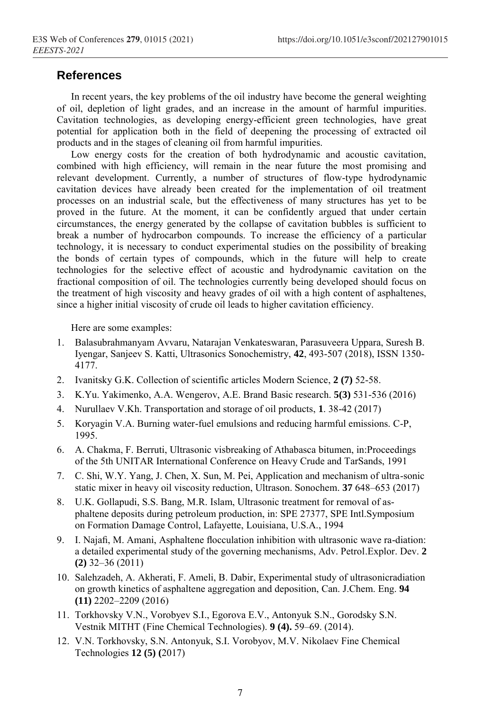## **References**

In recent years, the key problems of the oil industry have become the general weighting of oil, depletion of light grades, and an increase in the amount of harmful impurities. Cavitation technologies, as developing energy-efficient green technologies, have great potential for application both in the field of deepening the processing of extracted oil products and in the stages of cleaning oil from harmful impurities.

Low energy costs for the creation of both hydrodynamic and acoustic cavitation, combined with high efficiency, will remain in the near future the most promising and relevant development. Currently, a number of structures of flow-type hydrodynamic cavitation devices have already been created for the implementation of oil treatment processes on an industrial scale, but the effectiveness of many structures has yet to be proved in the future. At the moment, it can be confidently argued that under certain circumstances, the energy generated by the collapse of cavitation bubbles is sufficient to break a number of hydrocarbon compounds. To increase the efficiency of a particular technology, it is necessary to conduct experimental studies on the possibility of breaking the bonds of certain types of compounds, which in the future will help to create technologies for the selective effect of acoustic and hydrodynamic cavitation on the fractional composition of oil. The technologies currently being developed should focus on the treatment of high viscosity and heavy grades of oil with a high content of asphaltenes, since a higher initial viscosity of crude oil leads to higher cavitation efficiency.

Here are some examples:

- 1. Balasubrahmanyam Avvaru, Natarajan Venkateswaran, Parasuveera Uppara, Suresh B. Iyengar, Sanjeev S. Katti, Ultrasonics Sonochemistry, **42**, 493-507 (2018), ISSN 1350- 4177.
- 2. Ivanitsky G.K. Collection of scientific articles Modern Science, **2 (7)** 52-58.
- 3. K.Yu. Yakimenko, A.A. Wengerov, A.E. Brand Basic research. **5(3)** 531-536 (2016)
- 4. Nurullaev V.Kh. Transportation and storage of oil products, **1**. 38-42 (2017)
- 5. Koryagin V.A. Burning water-fuel emulsions and reducing harmful emissions. C-P, 1995.
- 6. A. Chakma, F. Berruti, Ultrasonic visbreaking of Athabasca bitumen, in:Proceedings of the 5th UNITAR International Conference on Heavy Crude and TarSands, 1991
- 7. C. Shi, W.Y. Yang, J. Chen, X. Sun, M. Pei, Application and mechanism of ultra-sonic static mixer in heavy oil viscosity reduction, Ultrason. Sonochem. **37** 648–653 (2017)
- 8. U.K. Gollapudi, S.S. Bang, M.R. Islam, Ultrasonic treatment for removal of asphaltene deposits during petroleum production, in: SPE 27377, SPE Intl.Symposium on Formation Damage Control, Lafayette, Louisiana, U.S.A., 1994
- 9. I. Najafi, M. Amani, Asphaltene flocculation inhibition with ultrasonic wave ra-diation: a detailed experimental study of the governing mechanisms, Adv. Petrol.Explor. Dev. **2 (2)** 32–36 (2011)
- 10. Salehzadeh, A. Akherati, F. Ameli, B. Dabir, Experimental study of ultrasonicradiation on growth kinetics of asphaltene aggregation and deposition, Can. J.Chem. Eng. **94 (11)** 2202–2209 (2016)
- 11. Torkhovsky V.N., Vorobyev S.I., Egorova E.V., Antonyuk S.N., Gorodsky S.N. Vestnik MITHT (Fine Chemical Technologies). **9 (4).** 59–69. (2014).
- 12. V.N. Torkhovsky, S.N. Antonyuk, S.I. Vorobyov, M.V. Nikolaev Fine Chemical Technologies **12 (5) (**2017)